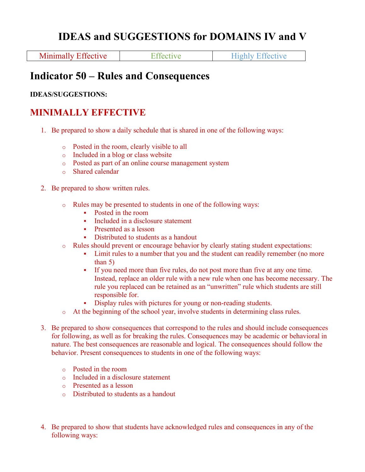# **IDEAS and SUGGESTIONS for DOMAINS IV and V**

Minimally Effective Effective Effective Highly Effective

# **Indicator 50 – Rules and Consequences**

#### **IDEAS/SUGGESTIONS:**

## **MINIMALLY EFFECTIVE**

- 1. Be prepared to show a daily schedule that is shared in one of the following ways:
	- o Posted in the room, clearly visible to all
	- o Included in a blog or class website
	- o Posted as part of an online course management system
	- o Shared calendar
- 2. Be prepared to show written rules.
	- o Rules may be presented to students in one of the following ways:
		- Posted in the room
		- Included in a disclosure statement
		- Presented as a lesson
		- Distributed to students as a handout
	- o Rules should prevent or encourage behavior by clearly stating student expectations:
		- Limit rules to a number that you and the student can readily remember (no more than 5)
		- § If you need more than five rules, do not post more than five at any one time. Instead, replace an older rule with a new rule when one has become necessary. The rule you replaced can be retained as an "unwritten" rule which students are still responsible for.
		- Display rules with pictures for young or non-reading students.
	- o At the beginning of the school year, involve students in determining class rules.
- 3. Be prepared to show consequences that correspond to the rules and should include consequences for following, as well as for breaking the rules. Consequences may be academic or behavioral in nature. The best consequences are reasonable and logical. The consequences should follow the behavior. Present consequences to students in one of the following ways:
	- o Posted in the room
	- o Included in a disclosure statement
	- o Presented as a lesson
	- o Distributed to students as a handout
- 4. Be prepared to show that students have acknowledged rules and consequences in any of the following ways: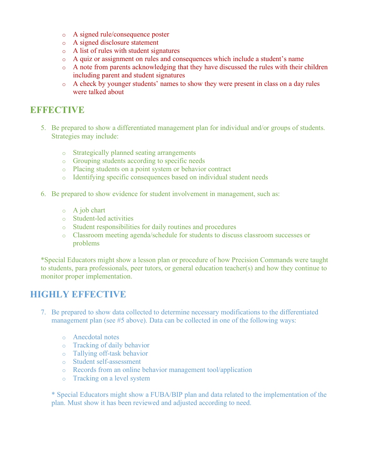- o A signed rule/consequence poster
- o A signed disclosure statement
- o A list of rules with student signatures
- o A quiz or assignment on rules and consequences which include a student's name
- o A note from parents acknowledging that they have discussed the rules with their children including parent and student signatures
- o A check by younger students' names to show they were present in class on a day rules were talked about

#### **EEFFECTIVE**

- 5. Be prepared to show a differentiated management plan for individual and/or groups of students. Strategies may include:
	- o Strategically planned seating arrangements
	- o Grouping students according to specific needs
	- o Placing students on a point system or behavior contract
	- o Identifying specific consequences based on individual student needs
- 6. Be prepared to show evidence for student involvement in management, such as:
	- o A job chart
	- o Student-led activities
	- o Student responsibilities for daily routines and procedures
	- o Classroom meeting agenda/schedule for students to discuss classroom successes or problems

\*Special Educators might show a lesson plan or procedure of how Precision Commands were taught to students, para professionals, peer tutors, or general education teacher(s) and how they continue to monitor proper implementation.

### **HIGHLY ERECTIVE**

- 7. Be prepared to show data collected to determine necessary modifications to the differentiated management plan (see #5 above). Data can be collected in one of the following ways:
	- o Anecdotal notes
	- o Tracking of daily behavior
	- o Tallying off-task behavior
	- o Student self-assessment
	- o Records from an online behavior management tool/application
	- o Tracking on a level system

\* Special Educators might show a FUBA/BIP plan and data related to the implementation of the plan. Must show it has been reviewed and adjusted according to need.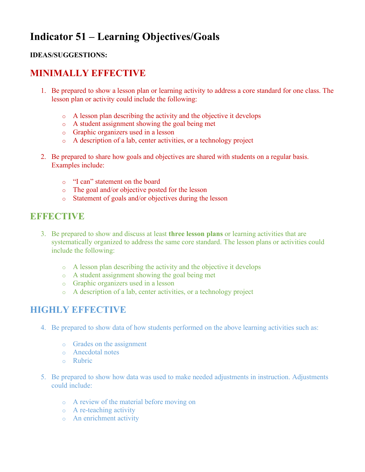# **Indicator 51 – Learning Objectives/Goals**

#### **IDEAS/SUGGESTIONS:**

# **MINIMALLY EFFECTIVE**

- 1. Be prepared to show a lesson plan or learning activity to address a core standard for one class. The lesson plan or activity could include the following:
	- o A lesson plan describing the activity and the objective it develops
	- o A student assignment showing the goal being met
	- o Graphic organizers used in a lesson
	- o A description of a lab, center activities, or a technology project
- 2. Be prepared to share how goals and objectives are shared with students on a regular basis. Examples include:
	- o "I can" statement on the board
	- o The goal and/or objective posted for the lesson
	- o Statement of goals and/or objectives during the lesson

### **EFFECTIVE**

- 3. Be prepared to show and discuss at least **three lesson plans** or learning activities that are systematically organized to address the same core standard. The lesson plans or activities could include the following:
	- o A lesson plan describing the activity and the objective it develops
	- o A student assignment showing the goal being met
	- o Graphic organizers used in a lesson
	- o A description of a lab, center activities, or a technology project

- 4. Be prepared to show data of how students performed on the above learning activities such as:
	- o Grades on the assignment
	- o Anecdotal notes
	- o Rubric
- 5. Be prepared to show how data was used to make needed adjustments in instruction. Adjustments could include:
	- o A review of the material before moving on
	- o A re-teaching activity
	- o An enrichment activity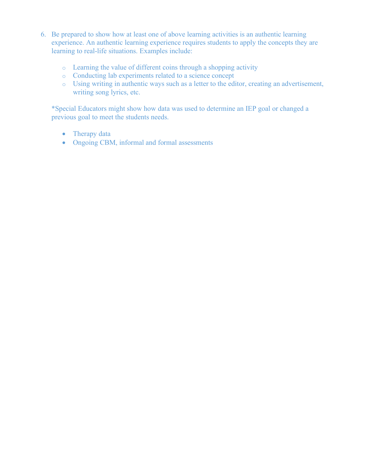- 6. Be prepared to show how at least one of above learning activities is an authentic learning experience. An authentic learning experience requires students to apply the concepts they are learning to real-life situations. Examples include:
	- o Learning the value of different coins through a shopping activity
	- o Conducting lab experiments related to a science concept
	- o Using writing in authentic ways such as a letter to the editor, creating an advertisement, writing song lyrics, etc.

\*Special Educators might show how data was used to determine an IEP goal or changed a previous goal to meet the students needs.

- Therapy data
- Ongoing CBM, informal and formal assessments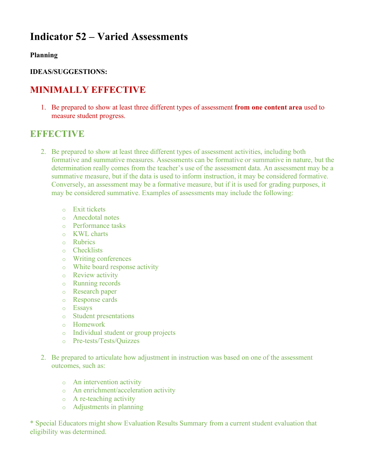# **Indicator 52 – Varied Assessments**

#### **Planning**

#### **IDEAS/SUGGESTIONS:**

## **MINIMALLY EFFECTIVE**

1. Be prepared to show at least three different types of assessment **from one content area** used to measure student progress.

### **EXPLORED**

- 2. Be prepared to show at least three different types of assessment activities, including both formative and summative measures. Assessments can be formative or summative in nature, but the determination really comes from the teacher's use of the assessment data. An assessment may be a summative measure, but if the data is used to inform instruction, it may be considered formative. Conversely, an assessment may be a formative measure, but if it is used for grading purposes, it may be considered summative. Examples of assessments may include the following:
	- o Exit tickets
	- o Anecdotal notes
	- o Performance tasks
	- o KWL charts
	- o Rubrics
	- o Checklists
	- o Writing conferences
	- o White board response activity
	- o Review activity
	- o Running records
	- o Research paper
	- o Response cards
	- o Essays
	- o Student presentations
	- o Homework
	- o Individual student or group projects
	- o Pre-tests/Tests/Quizzes
- 2. Be prepared to articulate how adjustment in instruction was based on one of the assessment outcomes, such as:
	- o An intervention activity
	- o An enrichment/acceleration activity
	- o A re-teaching activity
	- o Adjustments in planning

\* Special Educators might show Evaluation Results Summary from a current student evaluation that eligibility was determined.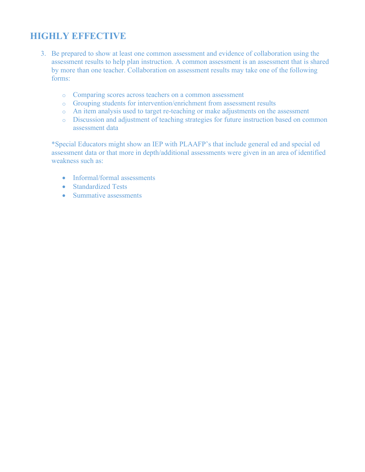# **HIGHLY EFFECTIVE**

- 3. Be prepared to show at least one common assessment and evidence of collaboration using the assessment results to help plan instruction. A common assessment is an assessment that is shared by more than one teacher. Collaboration on assessment results may take one of the following forms:
	- o Comparing scores across teachers on a common assessment
	- o Grouping students for intervention/enrichment from assessment results
	- o An item analysis used to target re-teaching or make adjustments on the assessment
	- o Discussion and adjustment of teaching strategies for future instruction based on common assessment data

\*Special Educators might show an IEP with PLAAFP's that include general ed and special ed assessment data or that more in depth/additional assessments were given in an area of identified weakness such as:

- Informal/formal assessments
- Standardized Tests
- Summative assessments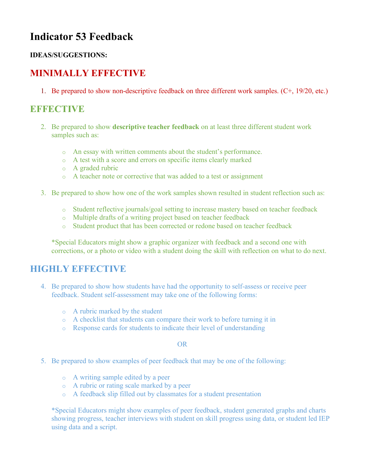# **Indicator 53 Feedback**

#### **IDEAS/SUGGESTIONS:**

# **MINIMALLY EFFECTIVE**

1. Be prepared to show non-descriptive feedback on three different work samples. (C+, 19/20, etc.)

## **EFFECTIVE**

- 2. Be prepared to show **descriptive teacher feedback** on at least three different student work samples such as:
	- o An essay with written comments about the student's performance.
	- o A test with a score and errors on specific items clearly marked
	- o A graded rubric
	- o A teacher note or corrective that was added to a test or assignment
- 3. Be prepared to show how one of the work samples shown resulted in student reflection such as:
	- o Student reflective journals/goal setting to increase mastery based on teacher feedback
	- o Multiple drafts of a writing project based on teacher feedback
	- o Student product that has been corrected or redone based on teacher feedback

\*Special Educators might show a graphic organizer with feedback and a second one with corrections, or a photo or video with a student doing the skill with reflection on what to do next.

### **HIGHLY EFFECTIVE**

- 4. Be prepared to show how students have had the opportunity to self-assess or receive peer feedback. Student self-assessment may take one of the following forms:
	- o A rubric marked by the student
	- o A checklist that students can compare their work to before turning it in
	- o Response cards for students to indicate their level of understanding

#### OR

- 5. Be prepared to show examples of peer feedback that may be one of the following:
	- o A writing sample edited by a peer
	- o A rubric or rating scale marked by a peer
	- o A feedback slip filled out by classmates for a student presentation

\*Special Educators might show examples of peer feedback, student generated graphs and charts showing progress, teacher interviews with student on skill progress using data, or student led IEP using data and a script.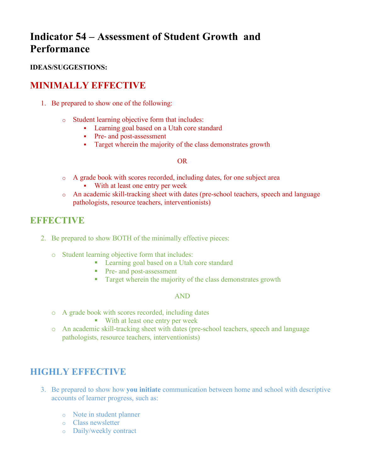# **Indicator 54 – Assessment of Student Growth and Performance**

#### **IDEAS/SUGGESTIONS:**

### **MINIMALLY EFFECTIVE**

- 1. Be prepared to show one of the following:
	- o Student learning objective form that includes:
		- Learning goal based on a Utah core standard
		- Pre- and post-assessment
		- Target wherein the majority of the class demonstrates growth

#### OR

- o A grade book with scores recorded, including dates, for one subject area With at least one entry per week
- o An academic skill-tracking sheet with dates (pre-school teachers, speech and language pathologists, resource teachers, interventionists)

# **EFFECTIVE**

- 2. Be prepared to show BOTH of the minimally effective pieces:
	- o Student learning objective form that includes:
		- Learning goal based on a Utah core standard
		- Pre- and post-assessment
		- **•** Target wherein the majority of the class demonstrates growth

#### AND

- o A grade book with scores recorded, including dates
	- With at least one entry per week
- o An academic skill-tracking sheet with dates (pre-school teachers, speech and language pathologists, resource teachers, interventionists)

- 3. Be prepared to show how **you initiate** communication between home and school with descriptive accounts of learner progress, such as:
	- o Note in student planner
	- o Class newsletter
	- o Daily/weekly contract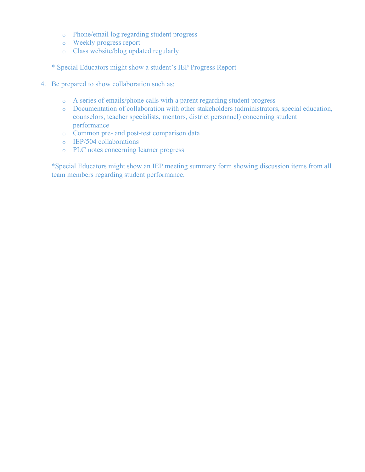- o Phone/email log regarding student progress
- o Weekly progress report
- o Class website/blog updated regularly
- \* Special Educators might show a student's IEP Progress Report
- 4. Be prepared to show collaboration such as:
	- o A series of emails/phone calls with a parent regarding student progress
	- o Documentation of collaboration with other stakeholders (administrators, special education, counselors, teacher specialists, mentors, district personnel) concerning student performance
	- o Common pre- and post-test comparison data
	- o IEP/504 collaborations
	- o PLC notes concerning learner progress

\*Special Educators might show an IEP meeting summary form showing discussion items from all team members regarding student performance.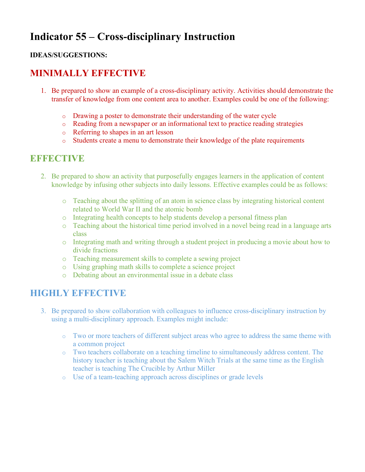# **Indicator 55 – Cross-disciplinary Instruction**

#### **IDEAS/SUGGESTIONS:**

## **MINIMALLY EFFECTIVE**

- 1. Be prepared to show an example of a cross-disciplinary activity. Activities should demonstrate the transfer of knowledge from one content area to another. Examples could be one of the following:
	- o Drawing a poster to demonstrate their understanding of the water cycle
	- o Reading from a newspaper or an informational text to practice reading strategies
	- o Referring to shapes in an art lesson
	- o Students create a menu to demonstrate their knowledge of the plate requirements

#### **EEFFECTIVE**

- 2. Be prepared to show an activity that purposefully engages learners in the application of content knowledge by infusing other subjects into daily lessons. Effective examples could be as follows:
	- o Teaching about the splitting of an atom in science class by integrating historical content related to World War II and the atomic bomb
	- o Integrating health concepts to help students develop a personal fitness plan
	- o Teaching about the historical time period involved in a novel being read in a language arts class
	- o Integrating math and writing through a student project in producing a movie about how to divide fractions
	- o Teaching measurement skills to complete a sewing project
	- o Using graphing math skills to complete a science project
	- o Debating about an environmental issue in a debate class

- 3. Be prepared to show collaboration with colleagues to influence cross-disciplinary instruction by using a multi-disciplinary approach. Examples might include:
	- o Two or more teachers of different subject areas who agree to address the same theme with a common project
	- o Two teachers collaborate on a teaching timeline to simultaneously address content. The history teacher is teaching about the Salem Witch Trials at the same time as the English teacher is teaching The Crucible by Arthur Miller
	- o Use of a team-teaching approach across disciplines or grade levels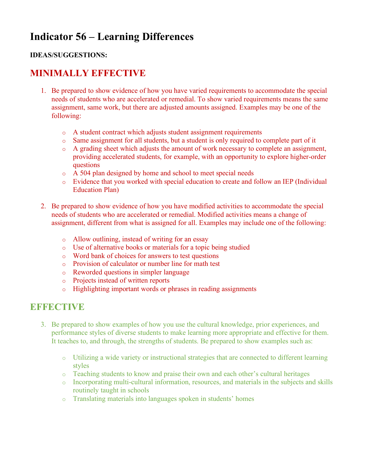# **Indicator 56 – Learning Differences**

#### **IDEAS/SUGGESTIONS:**

## **MINIMALLY EFFECTIVE**

- 1. Be prepared to show evidence of how you have varied requirements to accommodate the special needs of students who are accelerated or remedial. To show varied requirements means the same assignment, same work, but there are adjusted amounts assigned. Examples may be one of the following:
	- o A student contract which adjusts student assignment requirements
	- o Same assignment for all students, but a student is only required to complete part of it
	- o A grading sheet which adjusts the amount of work necessary to complete an assignment, providing accelerated students, for example, with an opportunity to explore higher-order questions
	- o A 504 plan designed by home and school to meet special needs
	- o Evidence that you worked with special education to create and follow an IEP (Individual Education Plan)
- 2. Be prepared to show evidence of how you have modified activities to accommodate the special needs of students who are accelerated or remedial. Modified activities means a change of assignment, different from what is assigned for all. Examples may include one of the following:
	- o Allow outlining, instead of writing for an essay
	- o Use of alternative books or materials for a topic being studied
	- o Word bank of choices for answers to test questions
	- o Provision of calculator or number line for math test
	- o Reworded questions in simpler language
	- o Projects instead of written reports
	- o Highlighting important words or phrases in reading assignments

### **EFFECTIVE**

- 3. Be prepared to show examples of how you use the cultural knowledge, prior experiences, and performance styles of diverse students to make learning more appropriate and effective for them. It teaches to, and through, the strengths of students. Be prepared to show examples such as:
	- o Utilizing a wide variety or instructional strategies that are connected to different learning styles
	- o Teaching students to know and praise their own and each other's cultural heritages
	- o Incorporating multi-cultural information, resources, and materials in the subjects and skills routinely taught in schools
	- o Translating materials into languages spoken in students' homes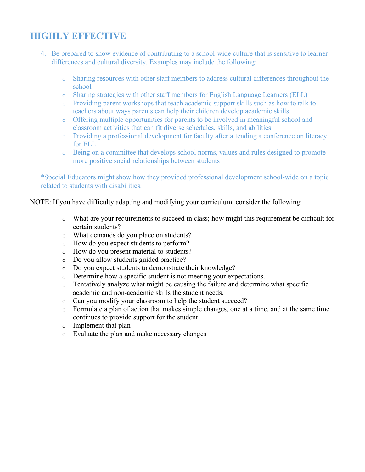# **HIGHLY EFFECTIVE**

- 4. Be prepared to show evidence of contributing to a school-wide culture that is sensitive to learner differences and cultural diversity. Examples may include the following:
	- o Sharing resources with other staff members to address cultural differences throughout the school
	- o Sharing strategies with other staff members for English Language Learners (ELL)
	- o Providing parent workshops that teach academic support skills such as how to talk to teachers about ways parents can help their children develop academic skills
	- o Offering multiple opportunities for parents to be involved in meaningful school and classroom activities that can fit diverse schedules, skills, and abilities
	- o Providing a professional development for faculty after attending a conference on literacy for ELL
	- o Being on a committee that develops school norms, values and rules designed to promote more positive social relationships between students

\*Special Educators might show how they provided professional development school-wide on a topic related to students with disabilities.

NOTE: If you have difficulty adapting and modifying your curriculum, consider the following:

- o What are your requirements to succeed in class; how might this requirement be difficult for certain students?
- o What demands do you place on students?
- o How do you expect students to perform?
- o How do you present material to students?
- o Do you allow students guided practice?
- o Do you expect students to demonstrate their knowledge?
- o Determine how a specific student is not meeting your expectations.
- o Tentatively analyze what might be causing the failure and determine what specific academic and non-academic skills the student needs.
- o Can you modify your classroom to help the student succeed?
- o Formulate a plan of action that makes simple changes, one at a time, and at the same time continues to provide support for the student
- o Implement that plan
- o Evaluate the plan and make necessary changes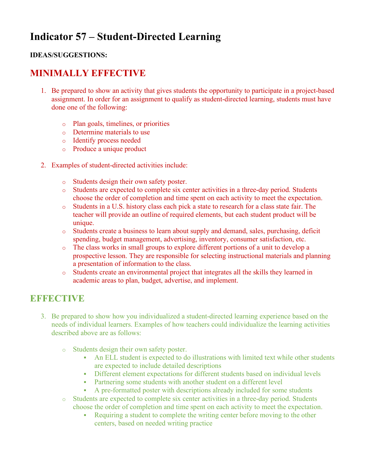# **Indicator 57 – Student-Directed Learning**

#### **IDEAS/SUGGESTIONS:**

## **MINIMALLY EFFECTIVE**

- 1. Be prepared to show an activity that gives students the opportunity to participate in a project-based assignment. In order for an assignment to qualify as student-directed learning, students must have done one of the following:
	- o Plan goals, timelines, or priorities
	- o Determine materials to use
	- o Identify process needed
	- o Produce a unique product
- 2. Examples of student-directed activities include:
	- o Students design their own safety poster.
	- o Students are expected to complete six center activities in a three-day period. Students choose the order of completion and time spent on each activity to meet the expectation.
	- o Students in a U.S. history class each pick a state to research for a class state fair. The teacher will provide an outline of required elements, but each student product will be unique.
	- o Students create a business to learn about supply and demand, sales, purchasing, deficit spending, budget management, advertising, inventory, consumer satisfaction, etc.
	- o The class works in small groups to explore different portions of a unit to develop a prospective lesson. They are responsible for selecting instructional materials and planning a presentation of information to the class.
	- o Students create an environmental project that integrates all the skills they learned in academic areas to plan, budget, advertise, and implement.

## **EFFECTIVE**

- 3. Be prepared to show how you individualized a student-directed learning experience based on the needs of individual learners. Examples of how teachers could individualize the learning activities described above are as follows:
	- o Students design their own safety poster.
		- An ELL student is expected to do illustrations with limited text while other students are expected to include detailed descriptions
		- Different element expectations for different students based on individual levels
		- Partnering some students with another student on a different level
		- A pre-formatted poster with descriptions already included for some students
	- o Students are expected to complete six center activities in a three-day period. Students choose the order of completion and time spent on each activity to meet the expectation.
		- Requiring a student to complete the writing center before moving to the other centers, based on needed writing practice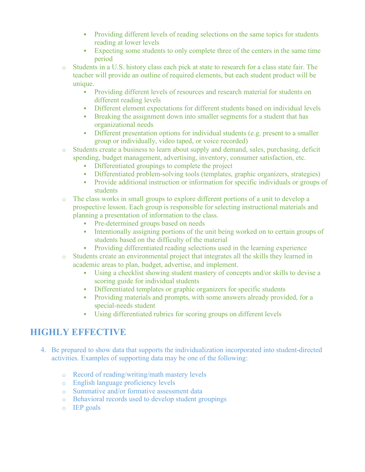- Providing different levels of reading selections on the same topics for students reading at lower levels
- Expecting some students to only complete three of the centers in the same time period
- o Students in a U.S. history class each pick at state to research for a class state fair. The teacher will provide an outline of required elements, but each student product will be unique.
	- Providing different levels of resources and research material for students on different reading levels
	- Different element expectations for different students based on individual levels
	- Breaking the assignment down into smaller segments for a student that has organizational needs
	- Different presentation options for individual students (e.g. present to a smaller group or individually, video taped, or voice recorded)
- o Students create a business to learn about supply and demand, sales, purchasing, deficit spending, budget management, advertising, inventory, consumer satisfaction, etc.
	- Differentiated groupings to complete the project
	- Differentiated problem-solving tools (templates, graphic organizers, strategies)
	- Provide additional instruction or information for specific individuals or groups of students
- o The class works in small groups to explore different portions of a unit to develop a prospective lesson. Each group is responsible for selecting instructional materials and planning a presentation of information to the class.
	- Pre-determined groups based on needs
	- Intentionally assigning portions of the unit being worked on to certain groups of students based on the difficulty of the material
	- Providing differentiated reading selections used in the learning experience
- o Students create an environmental project that integrates all the skills they learned in academic areas to plan, budget, advertise, and implement.
	- § Using a checklist showing student mastery of concepts and/or skills to devise a scoring guide for individual students
	- Differentiated templates or graphic organizers for specific students
	- Providing materials and prompts, with some answers already provided, for a special-needs student
	- § Using differentiated rubrics for scoring groups on different levels

- 4. Be prepared to show data that supports the individualization incorporated into student-directed activities. Examples of supporting data may be one of the following:
	- o Record of reading/writing/math mastery levels
	- o English language proficiency levels
	- o Summative and/or formative assessment data
	- o Behavioral records used to develop student groupings
	- o IEP goals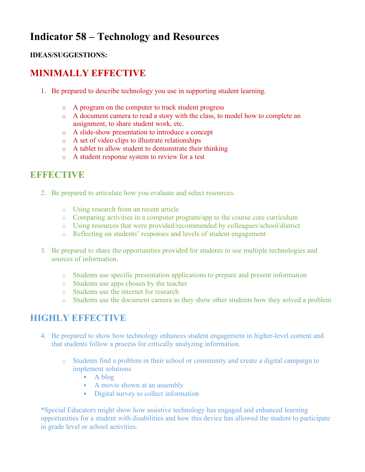# **Indicator 58 – Technology and Resources**

#### **IDEAS/SUGGESTIONS:**

# **MINIMALLY EFFECTIVE**

- 1. Be prepared to describe technology you use in supporting student learning.
	- o A program on the computer to track student progress
	- o A document camera to read a story with the class, to model how to complete an assignment, to share student work, etc.
	- o A slide-show presentation to introduce a concept
	- o A set of video clips to illustrate relationships
	- o A tablet to allow student to demonstrate their thinking
	- o A student response system to review for a test

# **EFFECTIVE**

- 2. Be prepared to articulate how you evaluate and select resources.
	- o Using research from an recent article
	- o Comparing activities in a computer program/app to the course core curriculum
	- o Using resources that were provided/recommended by colleagues/school/district
	- o Reflecting on students' responses and levels of student engagement
- 3. Be prepared to share the opportunities provided for students to use multiple technologies and sources of information.
	- o Students use specific presentation applications to prepare and present information
	- o Students use apps chosen by the teacher
	- o Students use the internet for research
	- o Students use the document camera as they show other students how they solved a problem

# **HIGHLY EFFECTIVE**

- 4. Be prepared to show how technology enhances student engagement in higher-level content and that students follow a process for critically analyzing information.
	- o Students find a problem in their school or community and create a digital campaign to implement solutions
		- § A blog
		- A movie shown at an assembly
		- Digital survey to collect information

\*Special Educators might show how assistive technology has engaged and enhanced learning opportunities for a student with disabilities and how this device has allowed the student to participate in grade level or school activities.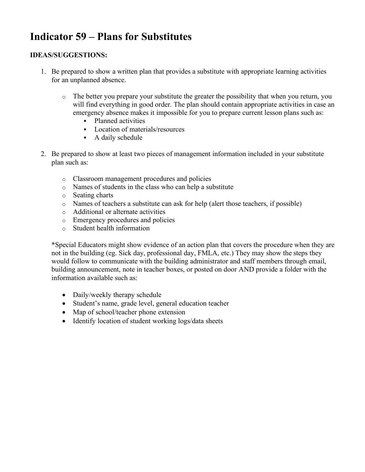# **Indicator 59 – Plans for Substitutes**

#### **IDEAS/SUGGESTIONS:**

- 1. Be prepared to show a written plan that provides a substitute with appropriate learning activities for an unplanned absence.
	- $\circ$  The better you prepare your substitute the greater the possibility that when you return, you will find everything in good order. The plan should contain appropriate activities in case an emergency absence makes it impossible for you to prepare current lesson plans such as:
		- § Planned activities
		- § Location of materials/resources
		- A daily schedule
- 2. Be prepared to show at least two pieces of management information included in your substitute plan such as:
	- o Classroom management procedures and policies
	- o Names of students in the class who can help a substitute
	- o Seating charts
	- o Names of teachers a substitute can ask for help (alert those teachers, if possible)
	- o Additional or alternate activities
	- o Emergency procedures and policies
	- o Student health information

\*Special Educators might show evidence of an action plan that covers the procedure when they are not in the building (eg. Sick day, professional day, FMLA, etc.) They may show the steps they would follow to communicate with the building administrator and staff members through email, building announcement, note in teacher boxes, or posted on door AND provide a folder with the information available such as:

- Daily/weekly therapy schedule
- Student's name, grade level, general education teacher
- Map of school/teacher phone extension
- Identify location of student working logs/data sheets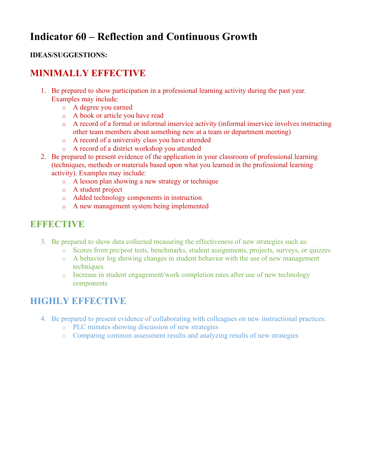# **Indicator 60 – Reflection and Continuous Growth**

#### **IDEAS/SUGGESTIONS:**

## **MINIMALLY EFFECTIVE**

- 1. Be prepared to show participation in a professional learning activity during the past year. Examples may include:
	- o A degree you earned
	- o A book or article you have read
	- o A record of a formal or informal inservice activity (informal inservice involves instructing other team members about something new at a team or department meeting)
	- o A record of a university class you have attended
	- o A record of a district workshop you attended
- 2. Be prepared to present evidence of the application in your classroom of professional learning (techniques, methods or materials based upon what you learned in the professional learning activity). Examples may include:
	- o A lesson plan showing a new strategy or technique
	- o A student project
	- o Added technology components in instruction
	- o A new management system being implemented

## **EFFECTIVE**

- 3. Be prepared to show data collected measuring the effectiveness of new strategies such as:
	- o Scores from pre/post tests, benchmarks, student assignments, projects, surveys, or quizzes
	- o A behavior log showing changes in student behavior with the use of new management techniques
	- o Increase in student engagement/work completion rates after use of new technology components

- 4. Be prepared to present evidence of collaborating with colleagues on new instructional practices.
	- o PLC minutes showing discussion of new strategies
	- o Comparing common assessment results and analyzing results of new strategies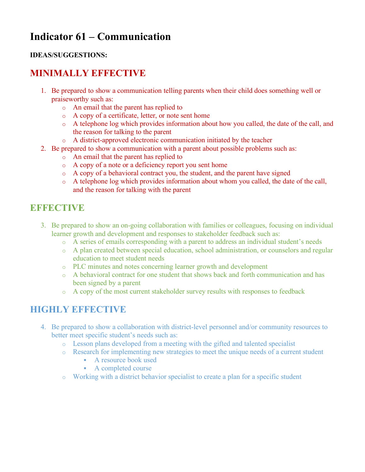# **Indicator 61 – Communication**

#### **IDEAS/SUGGESTIONS:**

# **MINIMALLY EFFECTIVE**

- 1. Be prepared to show a communication telling parents when their child does something well or praiseworthy such as:
	- o An email that the parent has replied to
	- o A copy of a certificate, letter, or note sent home
	- o A telephone log which provides information about how you called, the date of the call, and the reason for talking to the parent
	- o A district-approved electronic communication initiated by the teacher
- 2. Be prepared to show a communication with a parent about possible problems such as:
	- o An email that the parent has replied to
	- o A copy of a note or a deficiency report you sent home
	- o A copy of a behavioral contract you, the student, and the parent have signed
	- o A telephone log which provides information about whom you called, the date of the call, and the reason for talking with the parent

## **EXPLORED BUDGETTING**

- 3. Be prepared to show an on-going collaboration with families or colleagues, focusing on individual learner growth and development and responses to stakeholder feedback such as:
	- o A series of emails corresponding with a parent to address an individual student's needs
	- o A plan created between special education, school administration, or counselors and regular education to meet student needs
	- o PLC minutes and notes concerning learner growth and development
	- o A behavioral contract for one student that shows back and forth communication and has been signed by a parent
	- o A copy of the most current stakeholder survey results with responses to feedback

- 4. Be prepared to show a collaboration with district-level personnel and/or community resources to better meet specific student's needs such as:
	- o Lesson plans developed from a meeting with the gifted and talented specialist
	- o Research for implementing new strategies to meet the unique needs of a current student
		- § A resource book used
		- § A completed course
	- o Working with a district behavior specialist to create a plan for a specific student